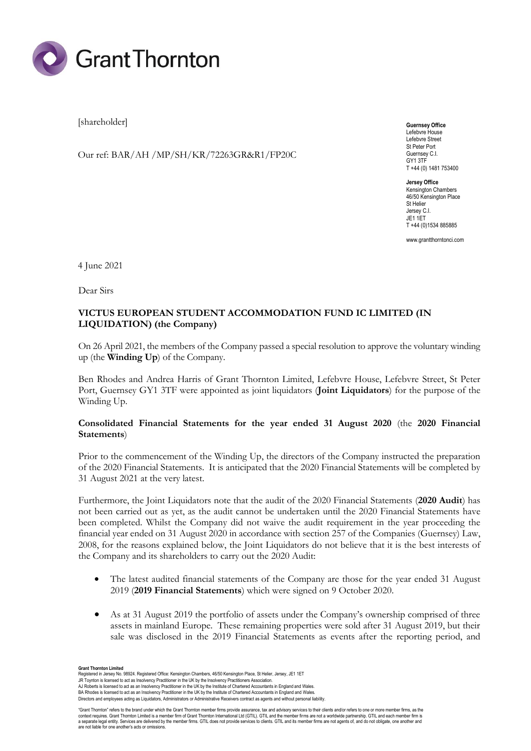

[shareholder]

Our ref: BAR/AH /MP/SH/KR/72263GR&R1/FP20C

**Guernsey Office** Lefebvre House Lefebvre Street St Peter Port Guernsey C.I. GY1 3TF T +44 (0) 1481 753400

**Jersey Office** Kensington Chambers 46/50 Kensington Place St Helier Jersey C.I. JE1 1ET T +44 (0)1534 885885

www.grantthorntonci.com

4 June 2021

Dear Sirs

# **VICTUS EUROPEAN STUDENT ACCOMMODATION FUND IC LIMITED (IN LIQUIDATION) (the Company)**

On 26 April 2021, the members of the Company passed a special resolution to approve the voluntary winding up (the **Winding Up**) of the Company.

Ben Rhodes and Andrea Harris of Grant Thornton Limited, Lefebvre House, Lefebvre Street, St Peter Port, Guernsey GY1 3TF were appointed as joint liquidators (**Joint Liquidators**) for the purpose of the Winding Up.

### **Consolidated Financial Statements for the year ended 31 August 2020** (the **2020 Financial Statements**)

Prior to the commencement of the Winding Up, the directors of the Company instructed the preparation of the 2020 Financial Statements. It is anticipated that the 2020 Financial Statements will be completed by 31 August 2021 at the very latest.

Furthermore, the Joint Liquidators note that the audit of the 2020 Financial Statements (**2020 Audit**) has not been carried out as yet, as the audit cannot be undertaken until the 2020 Financial Statements have been completed. Whilst the Company did not waive the audit requirement in the year proceeding the financial year ended on 31 August 2020 in accordance with section 257 of the Companies (Guernsey) Law, 2008, for the reasons explained below, the Joint Liquidators do not believe that it is the best interests of the Company and its shareholders to carry out the 2020 Audit:

- The latest audited financial statements of the Company are those for the year ended 31 August 2019 (**2019 Financial Statements**) which were signed on 9 October 2020.
- As at 31 August 2019 the portfolio of assets under the Company's ownership comprised of three assets in mainland Europe. These remaining properties were sold after 31 August 2019, but their sale was disclosed in the 2019 Financial Statements as events after the reporting period, and

**Grant Thornton Limited**<br>Registered in Jersey No. 98924. Registered Office: Kensington Chambers, 46/50 Kensington Place, St Helier, Jersey, JE1 1ET

JR Toynton is licensed to act as Insolvency Practitioner in the UK by the Insolvency Practitioners Association. AJ Roberts is licensed to act as an Insolvency Practitioner in the UK by the Institute of Chartered Accountants in England and Wales.

BA Rhodes is licensed to act as an Insolvency Practitioner in the UK by the Institute of Chartered Accountants in England and Wales.

Directors and employees acting as Liquidators, Administrators or Administrative Receivers contract as agents and without personal liability.

"Grant Thornton" refers to the brand under which the Grant Thornton member firms provide assurance, tax and advisory services to their clients and/or refers to one or more member firms, as the<br>context requires. Grant Thorn are not liable for one another's acts or omissions.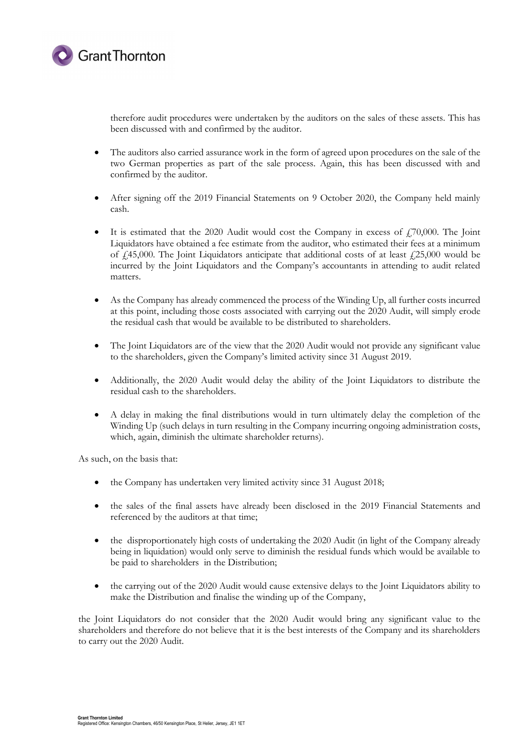

therefore audit procedures were undertaken by the auditors on the sales of these assets. This has been discussed with and confirmed by the auditor.

- The auditors also carried assurance work in the form of agreed upon procedures on the sale of the two German properties as part of the sale process. Again, this has been discussed with and confirmed by the auditor.
- After signing off the 2019 Financial Statements on 9 October 2020, the Company held mainly cash.
- It is estimated that the 2020 Audit would cost the Company in excess of  $\ddot{I}70,000$ . The Joint Liquidators have obtained a fee estimate from the auditor, who estimated their fees at a minimum of  $\hat{\mu}$ 45,000. The Joint Liquidators anticipate that additional costs of at least  $\hat{\mu}$ 25,000 would be incurred by the Joint Liquidators and the Company's accountants in attending to audit related matters.
- As the Company has already commenced the process of the Winding Up, all further costs incurred at this point, including those costs associated with carrying out the 2020 Audit, will simply erode the residual cash that would be available to be distributed to shareholders.
- The Joint Liquidators are of the view that the 2020 Audit would not provide any significant value to the shareholders, given the Company's limited activity since 31 August 2019.
- Additionally, the 2020 Audit would delay the ability of the Joint Liquidators to distribute the residual cash to the shareholders.
- A delay in making the final distributions would in turn ultimately delay the completion of the Winding Up (such delays in turn resulting in the Company incurring ongoing administration costs, which, again, diminish the ultimate shareholder returns).

As such, on the basis that:

- the Company has undertaken very limited activity since 31 August 2018;
- the sales of the final assets have already been disclosed in the 2019 Financial Statements and referenced by the auditors at that time;
- the disproportionately high costs of undertaking the 2020 Audit (in light of the Company already being in liquidation) would only serve to diminish the residual funds which would be available to be paid to shareholders in the Distribution;
- the carrying out of the 2020 Audit would cause extensive delays to the Joint Liquidators ability to make the Distribution and finalise the winding up of the Company,

the Joint Liquidators do not consider that the 2020 Audit would bring any significant value to the shareholders and therefore do not believe that it is the best interests of the Company and its shareholders to carry out the 2020 Audit.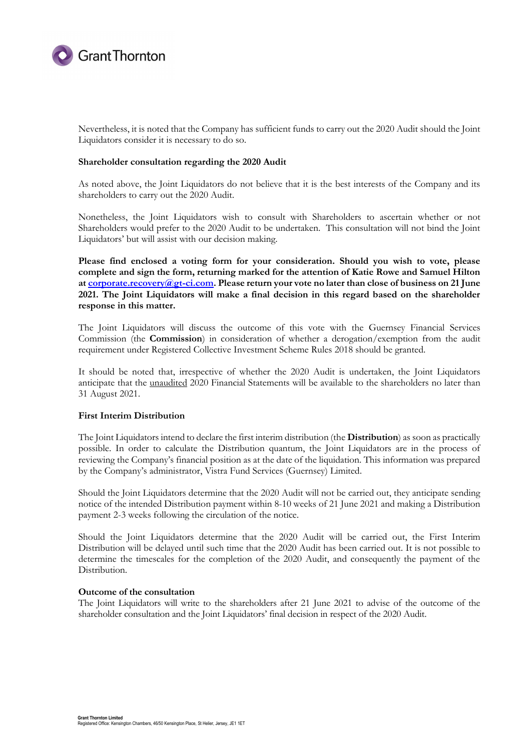

Nevertheless, it is noted that the Company has sufficient funds to carry out the 2020 Audit should the Joint Liquidators consider it is necessary to do so.

### **Shareholder consultation regarding the 2020 Audit**

As noted above, the Joint Liquidators do not believe that it is the best interests of the Company and its shareholders to carry out the 2020 Audit.

Nonetheless, the Joint Liquidators wish to consult with Shareholders to ascertain whether or not Shareholders would prefer to the 2020 Audit to be undertaken. This consultation will not bind the Joint Liquidators' but will assist with our decision making.

**Please find enclosed a voting form for your consideration. Should you wish to vote, please complete and sign the form, returning marked for the attention of Katie Rowe and Samuel Hilton at [corporate.recovery@gt-ci.com.](mailto:corporate.recovery@gt-ci.com) Please return your vote no later than close of business on 21 June 2021. The Joint Liquidators will make a final decision in this regard based on the shareholder response in this matter.**

The Joint Liquidators will discuss the outcome of this vote with the Guernsey Financial Services Commission (the **Commission**) in consideration of whether a derogation/exemption from the audit requirement under Registered Collective Investment Scheme Rules 2018 should be granted.

It should be noted that, irrespective of whether the 2020 Audit is undertaken, the Joint Liquidators anticipate that the unaudited 2020 Financial Statements will be available to the shareholders no later than 31 August 2021.

#### **First Interim Distribution**

The Joint Liquidators intend to declare the first interim distribution (the **Distribution**) as soon as practically possible. In order to calculate the Distribution quantum, the Joint Liquidators are in the process of reviewing the Company's financial position as at the date of the liquidation. This information was prepared by the Company's administrator, Vistra Fund Services (Guernsey) Limited.

Should the Joint Liquidators determine that the 2020 Audit will not be carried out, they anticipate sending notice of the intended Distribution payment within 8-10 weeks of 21 June 2021 and making a Distribution payment 2-3 weeks following the circulation of the notice.

Should the Joint Liquidators determine that the 2020 Audit will be carried out, the First Interim Distribution will be delayed until such time that the 2020 Audit has been carried out. It is not possible to determine the timescales for the completion of the 2020 Audit, and consequently the payment of the Distribution.

## **Outcome of the consultation**

The Joint Liquidators will write to the shareholders after 21 June 2021 to advise of the outcome of the shareholder consultation and the Joint Liquidators' final decision in respect of the 2020 Audit.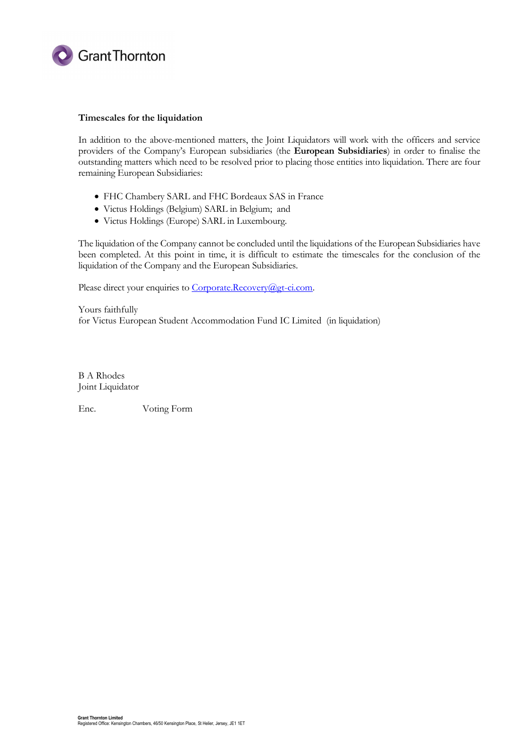

### **Timescales for the liquidation**

In addition to the above-mentioned matters, the Joint Liquidators will work with the officers and service providers of the Company's European subsidiaries (the **European Subsidiaries**) in order to finalise the outstanding matters which need to be resolved prior to placing those entities into liquidation. There are four remaining European Subsidiaries:

- FHC Chambery SARL and FHC Bordeaux SAS in France
- Victus Holdings (Belgium) SARL in Belgium; and
- Victus Holdings (Europe) SARL in Luxembourg.

The liquidation of the Company cannot be concluded until the liquidations of the European Subsidiaries have been completed. At this point in time, it is difficult to estimate the timescales for the conclusion of the liquidation of the Company and the European Subsidiaries.

Please direct your enquiries to Corporate.Recovery@gt-ci.com.

Yours faithfully for Victus European Student Accommodation Fund IC Limited (in liquidation)

B A Rhodes Joint Liquidator

Enc. Voting Form